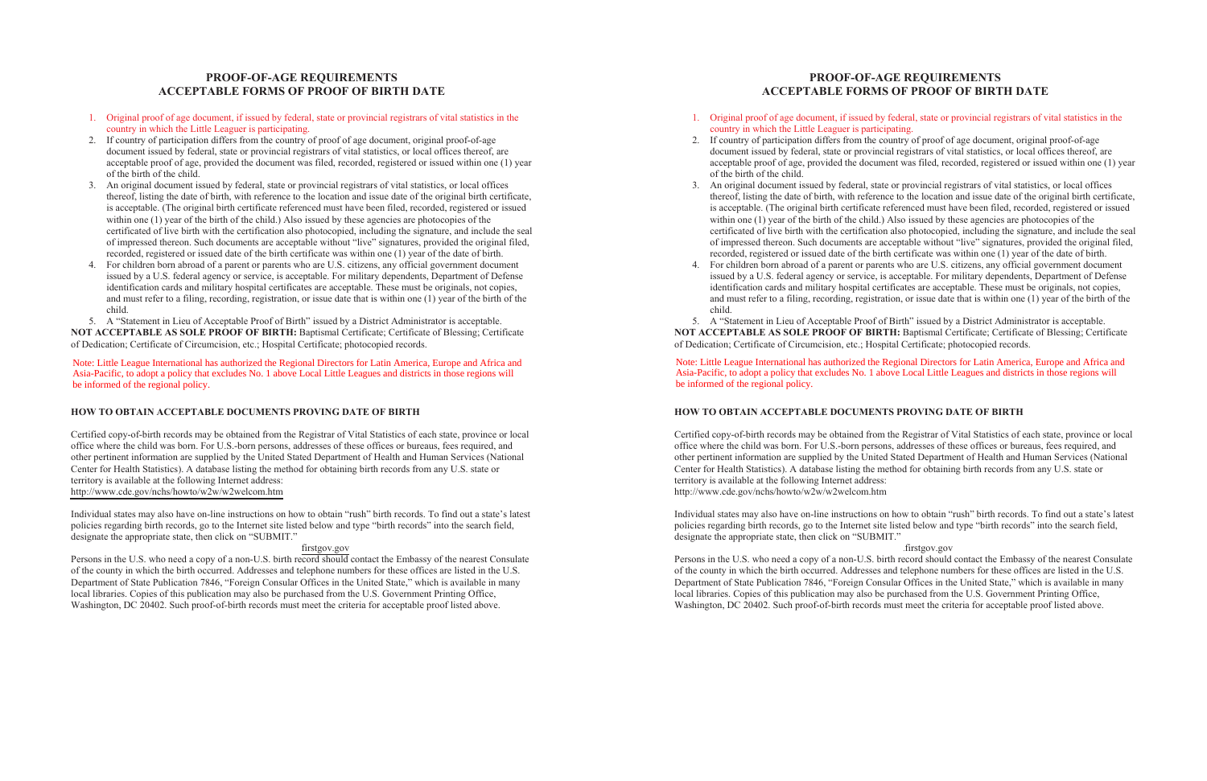# **PROOF-OF-AGE REQUIREMENTS ACCEPTABLE FORMS OF PROOF OF BIRTH DATE**

- 1. Original proof of age document, if issued by federal, state or provincial registrars of vital statistics in the country in which the Little Leaguer is participating.
- 2. If country of participation differs from the country of proof of age document, original proof-of-age document issued by federal, state or provincial registrars of vital statistics, or local offices thereof, are acceptable proof of age, provided the document was filed, recorded, registered or issued within one (1) year of the birth of the child.
- 3. An original document issued by federal, state or provincial registrars of vital statistics, or local offices thereof, listing the date of birth, with reference to the location and issue date of the original birth certificate, is acceptable. (The original birth certificate referenced must have been filed, recorded, registered or issued within one (1) year of the birth of the child.) Also issued by these agencies are photocopies of the certificated of live birth with the certification also photocopied, including the signature, and include the seal of impressed thereon. Such documents are acceptable without "live" signatures, provided the original filed, recorded, registered or issued date of the birth certificate was within one (1) year of the date of birth.
- 4. For children born abroad of a parent or parents who are U.S. citizens, any official government document issued by a U.S. federal agency or service, is acceptable. For military dependents, Department of Defense identification cards and military hospital certificates are acceptable. These must be originals, not copies, and must refer to a filing, recording, registration, or issue date that is within one (1) year of the birth of the child.

5. A "Statement in Lieu of Acceptable Proof of Birth" issued by a District Administrator is acceptable. **NOT ACCEPTABLE AS SOLE PROOF OF BIRTH:** Baptismal Certificate; Certificate of Blessing; Certificate of Dedication; Certificate of Circumcision, etc.; Hospital Certificate; photocopied records.

Note: Little League International has authorized the Regional Directors for Latin America, Europe and America Asia-Pacific, to adopt a policy that excludes No. 1 above Local Little Leagues and districts in those regions will<br>be informed of the regional policy be informed of the regional policy. Note: Little League International has authorized the Regional Directors for Latin America, Europe and Africa and

### **HOW TO OBTAIN ACCEPTABLE DOCUMENTS PROVING DATE OF BIRTH**

Certified copy-of-birth records may be obtained from the Registrar of Vital Statistics of each state, province or local office where the child was born. For U.S.-born persons, addresses of these offices or bureaus, fees required, and other pertinent information are supplied by the United Stated Department of Health and Human Services (National Center for Health Statistics). A database listing the method for obtaining birth records from any U.S. state or territory is available at the following Internet address: http://www.cde.gov/nchs/howto/w2w/w2welcom.htm

Individual states may also have on-line instructions on how to obtain "rush" birth records. To find out a state's latest policies regarding birth records, go to the Internet site listed below and type "birth records" into the search field, designate the appropriate state, then click on "SUBMIT."

### firstgov.gov

Persons in the U.S. who need a copy of a non-U.S. birth record should contact the Embassy of the nearest Consulate of the county in which the birth occurred. Addresses and telephone numbers for these offices are listed in the U.S. Department of State Publication 7846, "Foreign Consular Offices in the United State," which is available in many local libraries. Copies of this publication may also be purchased from the U.S. Government Printing Office, Washington, DC 20402. Such proof-of-birth records must meet the criteria for acceptable proof listed above.